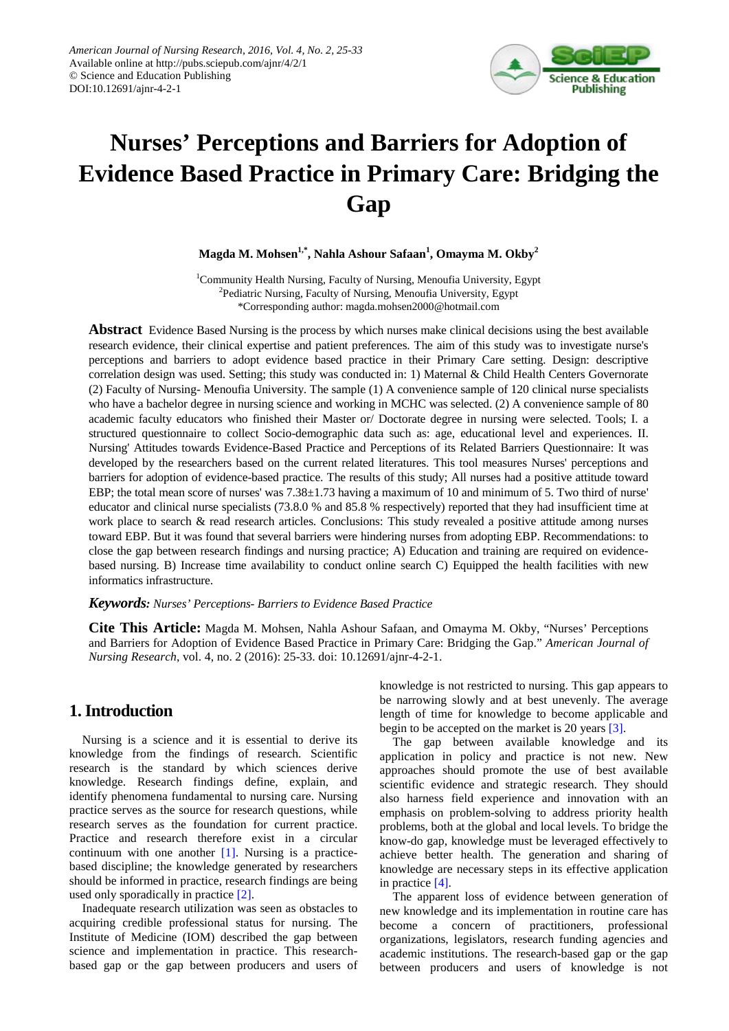

# **Nurses' Perceptions and Barriers for Adoption of Evidence Based Practice in Primary Care: Bridging the Gap**

**Magda M. Mohsen1,\*, Nahla Ashour Safaan1 , Omayma M. Okby<sup>2</sup>**

<sup>1</sup>Community Health Nursing, Faculty of Nursing, Menoufia University, Egypt <sup>2</sup>Pediatric Nursing, Faculty of Nursing, Menoufia University, Egypt \*Corresponding author: magda.mohsen2000@hotmail.com

**Abstract** Evidence Based Nursing is the process by which nurses make clinical decisions using the best available research evidence, their clinical expertise and patient preferences. The aim of this study was to investigate nurse's perceptions and barriers to adopt evidence based practice in their Primary Care setting. Design: descriptive correlation design was used. Setting; this study was conducted in: 1) Maternal & Child Health Centers Governorate (2) Faculty of Nursing- Menoufia University. The sample (1) A convenience sample of 120 clinical nurse specialists who have a bachelor degree in nursing science and working in MCHC was selected. (2) A convenience sample of 80 academic faculty educators who finished their Master or/ Doctorate degree in nursing were selected. Tools; I. a structured questionnaire to collect Socio-demographic data such as: age, educational level and experiences. II. Nursing' Attitudes towards Evidence-Based Practice and Perceptions of its Related Barriers Questionnaire: It was developed by the researchers based on the current related literatures. This tool measures Nurses' perceptions and barriers for adoption of evidence-based practice. The results of this study; All nurses had a positive attitude toward EBP; the total mean score of nurses' was 7.38±1.73 having a maximum of 10 and minimum of 5. Two third of nurse' educator and clinical nurse specialists (73.8.0 % and 85.8 % respectively) reported that they had insufficient time at work place to search & read research articles. Conclusions: This study revealed a positive attitude among nurses toward EBP. But it was found that several barriers were hindering nurses from adopting EBP. Recommendations: to close the gap between research findings and nursing practice; A) Education and training are required on evidencebased nursing. B) Increase time availability to conduct online search C) Equipped the health facilities with new informatics infrastructure.

#### *Keywords: Nurses' Perceptions- Barriers to Evidence Based Practice*

**Cite This Article:** Magda M. Mohsen, Nahla Ashour Safaan, and Omayma M. Okby, "Nurses' Perceptions and Barriers for Adoption of Evidence Based Practice in Primary Care: Bridging the Gap." *American Journal of Nursing Research*, vol. 4, no. 2 (2016): 25-33. doi: 10.12691/ajnr-4-2-1.

# **1. Introduction**

Nursing is a science and it is essential to derive its knowledge from the findings of research. Scientific research is the standard by which sciences derive knowledge. Research findings define, explain, and identify phenomena fundamental to nursing care. Nursing practice serves as the source for research questions, while research serves as the foundation for current practice. Practice and research therefore exist in a circular continuum with one another  $[1]$ . Nursing is a practicebased discipline; the knowledge generated by researchers should be informed in practice, research findings are being used only sporadically in practic[e \[2\].](#page-7-1)

Inadequate research utilization was seen as obstacles to acquiring credible professional status for nursing. The Institute of Medicine (IOM) described the gap between science and implementation in practice. This researchbased gap or the gap between producers and users of knowledge is not restricted to nursing. This gap appears to be narrowing slowly and at best unevenly. The average length of time for knowledge to become applicable and begin to be accepted on the market is 20 years [\[3\].](#page-7-2)

The gap between available knowledge and its application in policy and practice is not new. New approaches should promote the use of best available scientific evidence and strategic research. They should also harness field experience and innovation with an emphasis on problem-solving to address priority health problems, both at the global and local levels. To bridge the know-do gap, knowledge must be leveraged effectively to achieve better health. The generation and sharing of knowledge are necessary steps in its effective application in practic[e \[4\].](#page-7-3)

The apparent loss of evidence between generation of new knowledge and its implementation in routine care has become a concern of practitioners, professional organizations, legislators, research funding agencies and academic institutions. The research-based gap or the gap between producers and users of knowledge is not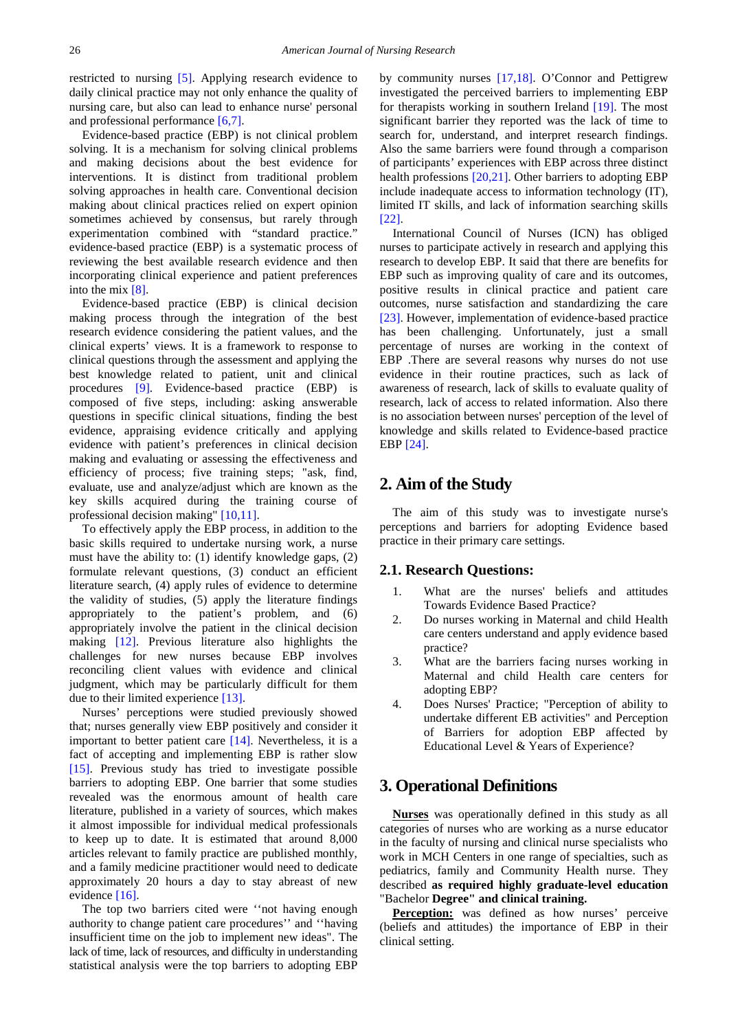restricted to nursing [\[5\].](#page-7-4) Applying research evidence to daily clinical practice may not only enhance the quality of nursing care, but also can lead to enhance nurse' personal and professional performance [\[6,7\].](#page-7-5)

Evidence-based practice (EBP) is not clinical problem solving. It is a mechanism for solving clinical problems and making decisions about the best evidence for interventions. It is distinct from traditional problem solving approaches in health care. Conventional decision making about clinical practices relied on expert opinion sometimes achieved by consensus, but rarely through experimentation combined with "standard practice." evidence-based practice (EBP) is a systematic process of reviewing the best available research evidence and then incorporating clinical experience and patient preferences into the mix [\[8\].](#page-8-0)

Evidence-based practice (EBP) is clinical decision making process through the integration of the best research evidence considering the patient values, and the clinical experts' views. It is a framework to response to clinical questions through the assessment and applying the best knowledge related to patient, unit and clinical procedures [\[9\].](#page-8-1) Evidence-based practice (EBP) is composed of five steps, including: asking answerable questions in specific clinical situations, finding the best evidence, appraising evidence critically and applying evidence with patient's preferences in clinical decision making and evaluating or assessing the effectiveness and efficiency of process; five training steps; "ask, find, evaluate, use and analyze/adjust which are known as the key skills acquired during the training course of professional decision making" [\[10,11\].](#page-8-2)

To effectively apply the EBP process, in addition to the basic skills required to undertake nursing work, a nurse must have the ability to: (1) identify knowledge gaps, (2) formulate relevant questions, (3) conduct an efficient literature search, (4) apply rules of evidence to determine the validity of studies, (5) apply the literature findings appropriately to the patient's problem, and (6) appropriately involve the patient in the clinical decision making [\[12\].](#page-8-3) Previous literature also highlights the challenges for new nurses because EBP involves reconciling client values with evidence and clinical judgment, which may be particularly difficult for them due to their limited experience [\[13\].](#page-8-4)

Nurses' perceptions were studied previously showed that; nurses generally view EBP positively and consider it important to better patient care [\[14\].](#page-8-5) Nevertheless, it is a fact of accepting and implementing EBP is rather slow [\[15\].](#page-8-6) Previous study has tried to investigate possible barriers to adopting EBP. One barrier that some studies revealed was the enormous amount of health care literature, published in a variety of sources, which makes it almost impossible for individual medical professionals to keep up to date. It is estimated that around 8,000 articles relevant to family practice are published monthly, and a family medicine practitioner would need to dedicate approximately 20 hours a day to stay abreast of new evidence [\[16\].](#page-8-7)

The top two barriers cited were ''not having enough authority to change patient care procedures'' and ''having insufficient time on the job to implement new ideas". The lack of time, lack of resources, and difficulty in understanding statistical analysis were the top barriers to adopting EBP by community nurses [\[17,18\].](#page-8-8) O'Connor and Pettigrew investigated the perceived barriers to implementing EBP for therapists working in southern Ireland [\[19\].](#page-8-9) The most significant barrier they reported was the lack of time to search for, understand, and interpret research findings. Also the same barriers were found through a comparison of participants' experiences with EBP across three distinct health professions [\[20,21\].](#page-8-10) Other barriers to adopting EBP include inadequate access to information technology (IT), limited IT skills, and lack of information searching skills [\[22\].](#page-8-11)

International Council of Nurses (ICN) has obliged nurses to participate actively in research and applying this research to develop EBP. It said that there are benefits for EBP such as improving quality of care and its outcomes, positive results in clinical practice and patient care outcomes, nurse satisfaction and standardizing the care [\[23\].](#page-8-12) However, implementation of evidence-based practice has been challenging. Unfortunately, just a small percentage of nurses are working in the context of EBP .There are several reasons why nurses do not use evidence in their routine practices, such as lack of awareness of research, lack of skills to evaluate quality of research, lack of access to related information. Also there is no association between nurses' perception of the level of knowledge and skills related to Evidence-based practice EBP [\[24\].](#page-8-13)

# **2. Aim of the Study**

The aim of this study was to investigate nurse's perceptions and barriers for adopting Evidence based practice in their primary care settings.

### **2.1. Research Questions:**

- 1. What are the nurses' beliefs and attitudes Towards Evidence Based Practice?
- 2. Do nurses working in Maternal and child Health care centers understand and apply evidence based practice?
- 3. What are the barriers facing nurses working in Maternal and child Health care centers for adopting EBP?
- 4. Does Nurses' Practice; "Perception of ability to undertake different EB activities" and Perception of Barriers for adoption EBP affected by Educational Level & Years of Experience?

## **3. Operational Definitions**

**Nurses** was operationally defined in this study as all categories of nurses who are working as a nurse educator in the faculty of nursing and clinical nurse specialists who work in MCH Centers in one range of specialties, such as pediatrics, family and Community Health nurse. They described **as required highly graduate-level education**  "Bachelor **Degree" and clinical training.**

**Perception:** was defined as how nurses' perceive (beliefs and attitudes) the importance of EBP in their clinical setting.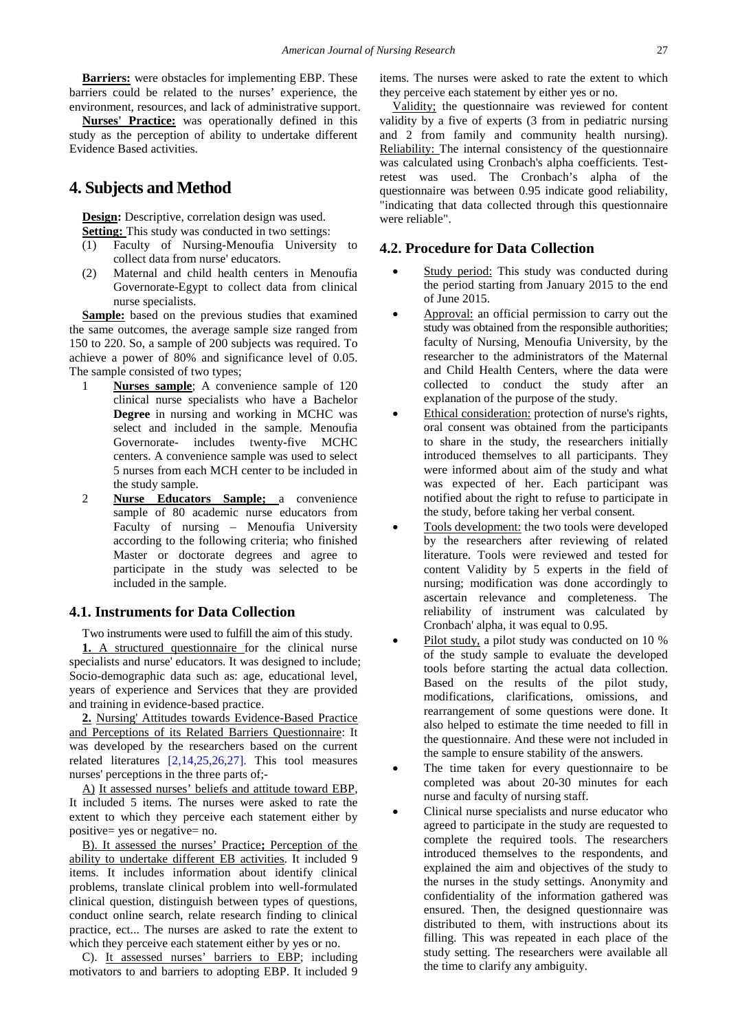**Barriers:** were obstacles for implementing EBP. These barriers could be related to the nurses' experience, the environment, resources, and lack of administrative support.

**Nurses' Practice:** was operationally defined in this study as the perception of ability to undertake different Evidence Based activities.

# **4. Subjects and Method**

**Design:** Descriptive, correlation design was used.

- **Setting:** This study was conducted in two settings:
- (1) Faculty of Nursing-Menoufia University to collect data from nurse' educators.
- (2) Maternal and child health centers in Menoufia Governorate-Egypt to collect data from clinical nurse specialists.

**Sample:** based on the previous studies that examined the same outcomes, the average sample size ranged from 150 to 220. So, a sample of 200 subjects was required. To achieve a power of 80% and significance level of 0.05. The sample consisted of two types;

- 1 **Nurses sample**; A convenience sample of 120 clinical nurse specialists who have a Bachelor **Degree** in nursing and working in MCHC was select and included in the sample. Menoufia Governorate- includes twenty-five MCHC centers. A convenience sample was used to select 5 nurses from each MCH center to be included in the study sample.
- 2 **Nurse Educators Sample;** a convenience sample of 80 academic nurse educators from Faculty of nursing – Menoufia University according to the following criteria; who finished Master or doctorate degrees and agree to participate in the study was selected to be included in the sample.

## **4.1. Instruments for Data Collection**

Two instruments were used to fulfill the aim of this study. **1.** A structured questionnaire for the clinical nurse specialists and nurse' educators. It was designed to include; Socio-demographic data such as: age, educational level, years of experience and Services that they are provided and training in evidence-based practice.

**2.** Nursing' Attitudes towards Evidence-Based Practice and Perceptions of its Related Barriers Questionnaire: It was developed by the researchers based on the current related literatures [\[2,14,25,26,27\].](#page-7-1) This tool measures nurses' perceptions in the three parts of;-

A) It assessed nurses' beliefs and attitude toward EBP, It included 5 items. The nurses were asked to rate the extent to which they perceive each statement either by positive= yes or negative= no.

B). It assessed the nurses' Practice**;** Perception of the ability to undertake different EB activities. It included 9 items. It includes information about identify clinical problems, translate clinical problem into well-formulated clinical question, distinguish between types of questions, conduct online search, relate research finding to clinical practice, ect... The nurses are asked to rate the extent to which they perceive each statement either by yes or no.

C). It assessed nurses' barriers to EBP; including motivators to and barriers to adopting EBP. It included 9

items. The nurses were asked to rate the extent to which they perceive each statement by either yes or no.

Validity; the questionnaire was reviewed for content validity by a five of experts (3 from in pediatric nursing and 2 from family and community health nursing). Reliability: The internal consistency of the questionnaire was calculated using Cronbach's alpha coefficients. Testretest was used. The Cronbach's alpha of the questionnaire was between 0.95 indicate good reliability, "indicating that data collected through this questionnaire were reliable".

## **4.2. Procedure for Data Collection**

- Study period: This study was conducted during the period starting from January 2015 to the end of June 2015.
- Approval: an official permission to carry out the study was obtained from the responsible authorities; faculty of Nursing, Menoufia University, by the researcher to the administrators of the Maternal and Child Health Centers, where the data were collected to conduct the study after an explanation of the purpose of the study.
- Ethical consideration: protection of nurse's rights, oral consent was obtained from the participants to share in the study, the researchers initially introduced themselves to all participants. They were informed about aim of the study and what was expected of her. Each participant was notified about the right to refuse to participate in the study, before taking her verbal consent.
- Tools development: the two tools were developed by the researchers after reviewing of related literature. Tools were reviewed and tested for content Validity by 5 experts in the field of nursing; modification was done accordingly to ascertain relevance and completeness. The reliability of instrument was calculated by Cronbach' alpha, it was equal to 0.95.
- Pilot study, a pilot study was conducted on 10 % of the study sample to evaluate the developed tools before starting the actual data collection. Based on the results of the pilot study, modifications, clarifications, omissions, and rearrangement of some questions were done. It also helped to estimate the time needed to fill in the questionnaire. And these were not included in the sample to ensure stability of the answers.
- The time taken for every questionnaire to be completed was about 20-30 minutes for each nurse and faculty of nursing staff.
- Clinical nurse specialists and nurse educator who agreed to participate in the study are requested to complete the required tools. The researchers introduced themselves to the respondents, and explained the aim and objectives of the study to the nurses in the study settings. Anonymity and confidentiality of the information gathered was ensured. Then, the designed questionnaire was distributed to them, with instructions about its filling. This was repeated in each place of the study setting. The researchers were available all the time to clarify any ambiguity.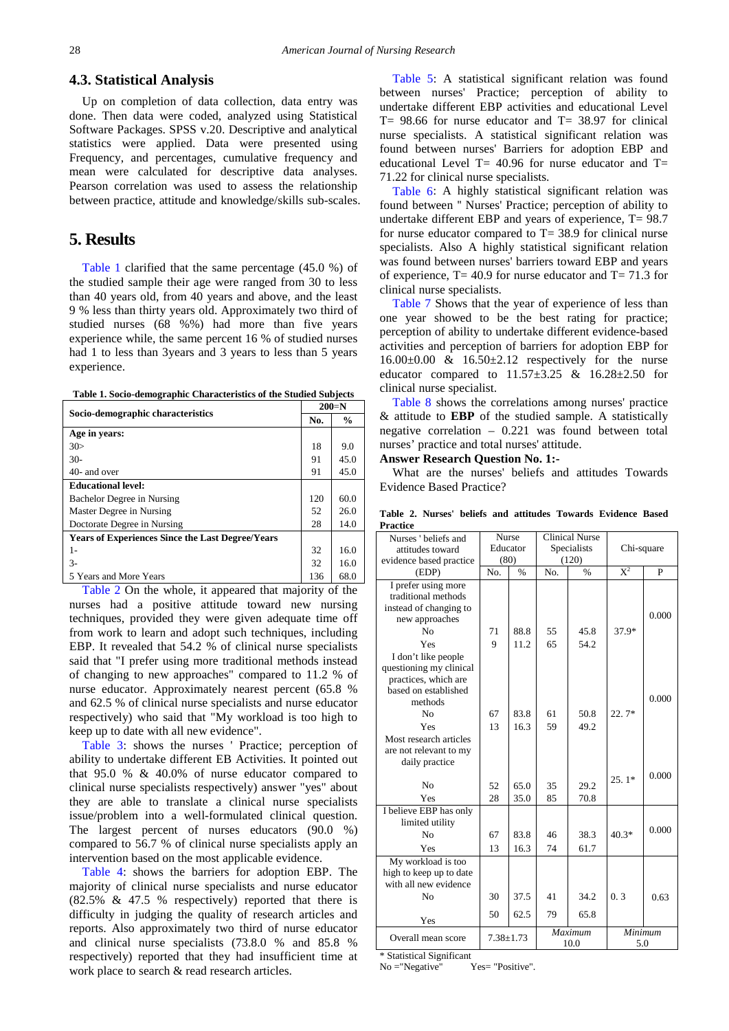## **4.3. Statistical Analysis**

Up on completion of data collection, data entry was done. Then data were coded, analyzed using Statistical Software Packages. SPSS v.20. Descriptive and analytical statistics were applied. Data were presented using Frequency, and percentages, cumulative frequency and mean were calculated for descriptive data analyses. Pearson correlation was used to assess the relationship between practice, attitude and knowledge/skills sub-scales.

# **5. Results**

[Table 1](#page-3-0) clarified that the same percentage (45.0 %) of the studied sample their age were ranged from 30 to less than 40 years old, from 40 years and above, and the least 9 % less than thirty years old. Approximately two third of studied nurses (68 %%) had more than five years experience while, the same percent 16 % of studied nurses had 1 to less than 3years and 3 years to less than 5 years experience.

| Table 1. Socio-demographic Characteristics of the Studied Subjects |  |  |  |  |
|--------------------------------------------------------------------|--|--|--|--|
|--------------------------------------------------------------------|--|--|--|--|

<span id="page-3-0"></span>

| Socio-demographic characteristics                       |     | $200=N$       |
|---------------------------------------------------------|-----|---------------|
|                                                         | No. | $\frac{6}{9}$ |
| Age in years:                                           |     |               |
| 30>                                                     | 18  | 9.0           |
| $30-$                                                   | 91  | 45.0          |
| 40- and over                                            | 91  | 45.0          |
| <b>Educational level:</b>                               |     |               |
| Bachelor Degree in Nursing                              | 120 | 60.0          |
| Master Degree in Nursing                                | 52  | 26.0          |
| Doctorate Degree in Nursing                             | 28  | 14.0          |
| <b>Years of Experiences Since the Last Degree/Years</b> |     |               |
| 1-                                                      | 32  | 16.0          |
| $3-$                                                    | 32  | 16.0          |
| 5 Years and More Years                                  | 136 | 68.0          |

[Table 2](#page-3-1) On the whole, it appeared that majority of the nurses had a positive attitude toward new nursing techniques, provided they were given adequate time off from work to learn and adopt such techniques, including EBP. It revealed that 54.2 % of clinical nurse specialists said that "I prefer using more traditional methods instead of changing to new approaches" compared to 11.2 % of nurse educator. Approximately nearest percent (65.8 % and 62.5 % of clinical nurse specialists and nurse educator respectively) who said that "My workload is too high to keep up to date with all new evidence".

[Table 3:](#page-4-0) shows the nurses ' Practice; perception of ability to undertake different EB Activities. It pointed out that 95.0 % & 40.0% of nurse educator compared to clinical nurse specialists respectively) answer "yes" about they are able to translate a clinical nurse specialists issue/problem into a well-formulated clinical question. The largest percent of nurses educators (90.0 %) compared to 56.7 % of clinical nurse specialists apply an intervention based on the most applicable evidence.

[Table 4:](#page-4-1) shows the barriers for adoption EBP. The majority of clinical nurse specialists and nurse educator (82.5% & 47.5 % respectively) reported that there is difficulty in judging the quality of research articles and reports. Also approximately two third of nurse educator and clinical nurse specialists (73.8.0 % and 85.8 % respectively) reported that they had insufficient time at work place to search & read research articles.

[Table 5:](#page-5-0) A statistical significant relation was found between nurses' Practice; perception of ability to undertake different EBP activities and educational Level  $T= 98.66$  for nurse educator and  $T= 38.97$  for clinical nurse specialists. A statistical significant relation was found between nurses' Barriers for adoption EBP and educational Level T=  $40.96$  for nurse educator and T= 71.22 for clinical nurse specialists.

[Table 6:](#page-5-1) A highly statistical significant relation was found between '' Nurses' Practice; perception of ability to undertake different EBP and years of experience, T= 98.7 for nurse educator compared to  $T = 38.9$  for clinical nurse specialists. Also A highly statistical significant relation was found between nurses' barriers toward EBP and years of experience,  $T = 40.9$  for nurse educator and  $T = 71.3$  for clinical nurse specialists.

[Table 7](#page-5-2) Shows that the year of experience of less than one year showed to be the best rating for practice; perception of ability to undertake different evidence-based activities and perception of barriers for adoption EBP for  $16.00\pm0.00$  &  $16.50\pm2.12$  respectively for the nurse educator compared to  $11.57 \pm 3.25$  &  $16.28 \pm 2.50$  for clinical nurse specialist.

[Table 8](#page-5-3) shows the correlations among nurses' practice & attitude to **EBP** of the studied sample. A statistically negative correlation – 0.221 was found between total nurses' practice and total nurses' attitude.

#### **Answer Research Question No. 1:-**

What are the nurses' beliefs and attitudes Towards Evidence Based Practice?

<span id="page-3-1"></span>

| Nurses ' beliefs and                     |                 | Nurse         |         | <b>Clinical Nurse</b> |            |       |
|------------------------------------------|-----------------|---------------|---------|-----------------------|------------|-------|
| attitudes toward                         | Educator        |               |         | Specialists           | Chi-square |       |
| evidence based practice                  |                 | (80)<br>(120) |         |                       |            |       |
| (EDP)                                    | No.             | $\frac{9}{6}$ | No.     | $\%$                  | $X^2$      | P     |
| I prefer using more                      |                 |               |         |                       |            |       |
| traditional methods                      |                 |               |         |                       |            |       |
| instead of changing to                   |                 |               |         |                       |            | 0.000 |
| new approaches                           |                 |               |         |                       |            |       |
| N <sub>0</sub>                           | 71              | 88.8          | 55      | 45.8                  | 37.9*      |       |
| Yes                                      | $\overline{Q}$  | 11.2          | 65      | 54.2                  |            |       |
| I don't like people                      |                 |               |         |                       |            |       |
| questioning my clinical                  |                 |               |         |                       |            |       |
| practices, which are                     |                 |               |         |                       |            |       |
| based on established<br>methods          |                 |               |         |                       |            | 0.000 |
|                                          |                 |               |         |                       | $22.7*$    |       |
| N <sub>0</sub>                           | 67              | 83.8          | 61      | 50.8                  |            |       |
| Yes                                      | 13              | 16.3          | 59      | 49.2                  |            |       |
| Most research articles                   |                 |               |         |                       |            |       |
| are not relevant to my<br>daily practice |                 |               |         |                       |            |       |
|                                          |                 |               |         |                       |            |       |
| N <sub>0</sub>                           | 52              | 65.0          | 35      | 29.2                  | $25.1*$    | 0.000 |
| Yes                                      | 28              | 35.0          | 85      | 70.8                  |            |       |
| I believe EBP has only                   |                 |               |         |                       |            |       |
| limited utility                          |                 |               |         |                       |            |       |
| N <sub>0</sub>                           | 67              | 83.8          | 46      | 38.3                  | $40.3*$    | 0.000 |
| Yes                                      | 13              | 16.3          | 74      | 61.7                  |            |       |
| My workload is too                       |                 |               |         |                       |            |       |
| high to keep up to date                  |                 |               |         |                       |            |       |
| with all new evidence                    |                 |               |         |                       |            |       |
| N <sub>0</sub>                           | 30              | 37.5          | 41      | 34.2                  | 0.3        | 0.63  |
| Yes                                      | 50              | 62.5          | 79      | 65.8                  |            |       |
| Overall mean score                       | $7.38 \pm 1.73$ |               | Maximum |                       | Minimum    |       |
|                                          |                 |               |         | 10.0                  | 5.0        |       |

**Table 2. Nurses' beliefs and attitudes Towards Evidence Based Practice**

\* Statistical Significant

No = "Negative" Yes= "Positive".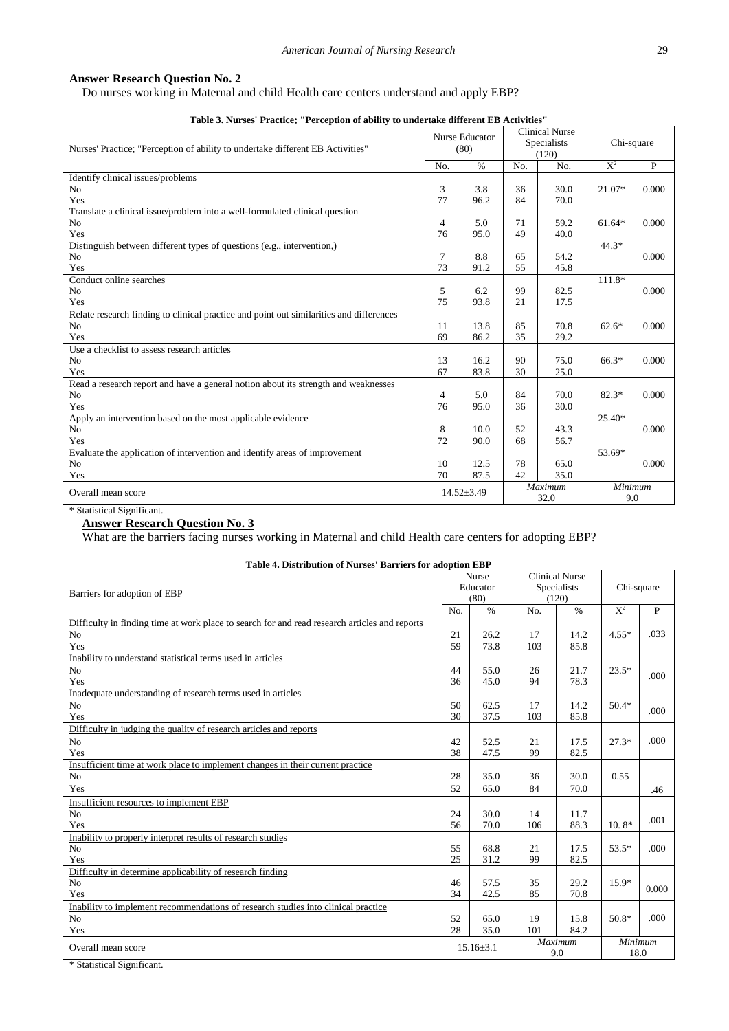## <span id="page-4-1"></span>**Answer Research Question No. 2**

Do nurses working in Maternal and child Health care centers understand and apply EBP?

<span id="page-4-0"></span>

| Table 3. Nurses' Practice; "Perception of ability to undertake different EB Activities" |        |                        |     |                                                      |            |             |
|-----------------------------------------------------------------------------------------|--------|------------------------|-----|------------------------------------------------------|------------|-------------|
| Nurses' Practice; "Perception of ability to undertake different EB Activities"          |        | Nurse Educator<br>(80) |     | <b>Clinical Nurse</b><br><b>Specialists</b><br>(120) | Chi-square |             |
|                                                                                         | No.    | $\%$                   | No. | No.                                                  | $X^2$      | $\mathbf P$ |
| Identify clinical issues/problems                                                       |        |                        |     |                                                      |            |             |
| N <sub>o</sub>                                                                          | 3      | 3.8                    | 36  | 30.0                                                 | 21.07*     | 0.000       |
| Yes                                                                                     | 77     | 96.2                   | 84  | 70.0                                                 |            |             |
| Translate a clinical issue/problem into a well-formulated clinical question             |        |                        |     |                                                      |            |             |
| N <sub>o</sub>                                                                          | 4      | 5.0                    | 71  | 59.2                                                 | $61.64*$   | 0.000       |
| Yes                                                                                     | 76     | 95.0                   | 49  | 40.0                                                 |            |             |
| Distinguish between different types of questions (e.g., intervention,)                  |        |                        |     |                                                      | $44.3*$    |             |
| N <sub>o</sub>                                                                          | $\tau$ | 8.8                    | 65  | 54.2                                                 |            | 0.000       |
| Yes                                                                                     | 73     | 91.2                   | 55  | 45.8                                                 |            |             |
| Conduct online searches                                                                 |        |                        |     |                                                      | 111.8*     |             |
| N <sub>o</sub>                                                                          | 5      | 6.2                    | 99  | 82.5                                                 |            | 0.000       |
| Yes                                                                                     | 75     | 93.8                   | 21  | 17.5                                                 |            |             |
| Relate research finding to clinical practice and point out similarities and differences |        |                        |     |                                                      |            |             |
| N <sub>o</sub>                                                                          | 11     | 13.8                   | 85  | 70.8                                                 | $62.6*$    | 0.000       |
| Yes                                                                                     | 69     | 86.2                   | 35  | 29.2                                                 |            |             |
| Use a checklist to assess research articles                                             |        |                        |     |                                                      |            |             |
| No                                                                                      | 13     | 16.2                   | 90  | 75.0                                                 | $66.3*$    | 0.000       |
| Yes                                                                                     | 67     | 83.8                   | 30  | 25.0                                                 |            |             |
| Read a research report and have a general notion about its strength and weaknesses      |        |                        |     |                                                      |            |             |
| N <sub>o</sub>                                                                          | 4      | 5.0                    | 84  | 70.0                                                 | $82.3*$    | 0.000       |
| Yes                                                                                     | 76     | 95.0                   | 36  | 30.0                                                 |            |             |
| Apply an intervention based on the most applicable evidence                             |        |                        |     |                                                      | 25.40*     |             |
| N <sub>o</sub>                                                                          | 8      | 10.0                   | 52  | 43.3                                                 |            | 0.000       |
| Yes                                                                                     | 72     | 90.0                   | 68  | 56.7                                                 |            |             |
| Evaluate the application of intervention and identify areas of improvement              |        |                        |     |                                                      | 53.69*     |             |
| No                                                                                      | 10     | 12.5                   | 78  | 65.0                                                 |            | 0.000       |
| Yes                                                                                     | 70     | 87.5                   | 42  | 35.0                                                 |            |             |
|                                                                                         |        | $14.52 \pm 3.49$       |     | Maximum                                              | Minimum    |             |
| Overall mean score                                                                      |        |                        |     | 32.0                                                 | 9.0        |             |

**Table 3. Nurses' Practice; "Perception of ability to undertake different EB Activities"**

## \* Statistical Significant. **Answer Research Question No. 3**

What are the barriers facing nurses working in Maternal and child Health care centers for adopting EBP?

|  | Table 4. Distribution of Nurses' Barriers for adoption EBP |  |  |
|--|------------------------------------------------------------|--|--|
|  |                                                            |  |  |

|                                                                                               |     | <b>Nurse</b>    |     | <b>Clinical Nurse</b> |            |       |
|-----------------------------------------------------------------------------------------------|-----|-----------------|-----|-----------------------|------------|-------|
|                                                                                               |     | Educator        |     | <b>Specialists</b>    | Chi-square |       |
| Barriers for adoption of EBP                                                                  |     | (80)            |     | (120)                 |            |       |
|                                                                                               | No. | $\frac{0}{0}$   | No. | $\%$                  | $X^2$      | P     |
| Difficulty in finding time at work place to search for and read research articles and reports |     |                 |     |                       |            |       |
| N <sub>o</sub>                                                                                | 21  | 26.2            | 17  | 14.2                  | $4.55*$    | .033  |
| Yes                                                                                           | 59  | 73.8            | 103 | 85.8                  |            |       |
| Inability to understand statistical terms used in articles                                    |     |                 |     |                       |            |       |
| N <sub>o</sub>                                                                                | 44  | 55.0            | 26  | 21.7                  | $23.5*$    |       |
| Yes                                                                                           | 36  | 45.0            | 94  | 78.3                  |            | .000  |
| Inadequate understanding of research terms used in articles                                   |     |                 |     |                       |            |       |
| N <sub>o</sub>                                                                                | 50  | 62.5            | 17  | 14.2                  | $50.4*$    | .000  |
| Yes                                                                                           | 30  | 37.5            | 103 | 85.8                  |            |       |
| Difficulty in judging the quality of research articles and reports                            |     |                 |     |                       |            |       |
| N <sub>o</sub>                                                                                | 42  | 52.5            | 21  | 17.5                  | $27.3*$    | .000  |
| Yes                                                                                           | 38  | 47.5            | 99  | 82.5                  |            |       |
| Insufficient time at work place to implement changes in their current practice                |     |                 |     |                       |            |       |
| N <sub>o</sub>                                                                                | 28  | 35.0            | 36  | 30.0                  | 0.55       |       |
| Yes                                                                                           | 52  | 65.0            | 84  | 70.0                  |            | .46   |
| Insufficient resources to implement EBP                                                       |     |                 |     |                       |            |       |
| N <sub>o</sub>                                                                                | 24  | 30.0            | 14  | 11.7                  |            | .001  |
| Yes                                                                                           | 56  | 70.0            | 106 | 88.3                  | 10.8*      |       |
| Inability to properly interpret results of research studies                                   |     |                 |     |                       |            |       |
| N <sub>o</sub>                                                                                | 55  | 68.8            | 21  | 17.5                  | $53.5*$    | .000  |
| Yes                                                                                           | 25  | 31.2            | 99  | 82.5                  |            |       |
| Difficulty in determine applicability of research finding                                     |     |                 |     |                       |            |       |
| N <sub>o</sub>                                                                                | 46  | 57.5            | 35  | 29.2                  | $15.9*$    | 0.000 |
| Yes                                                                                           | 34  | 42.5            | 85  | 70.8                  |            |       |
| Inability to implement recommendations of research studies into clinical practice             |     |                 |     |                       |            |       |
| N <sub>o</sub>                                                                                | 52  | 65.0            | 19  | 15.8                  | $50.8*$    | .000  |
| Yes                                                                                           | 28  | 35.0            | 101 | 84.2                  |            |       |
| Overall mean score                                                                            |     | $15.16 \pm 3.1$ |     | Maximum               | Minimum    |       |
|                                                                                               |     |                 | 9.0 |                       | 18.0       |       |

\* Statistical Significant.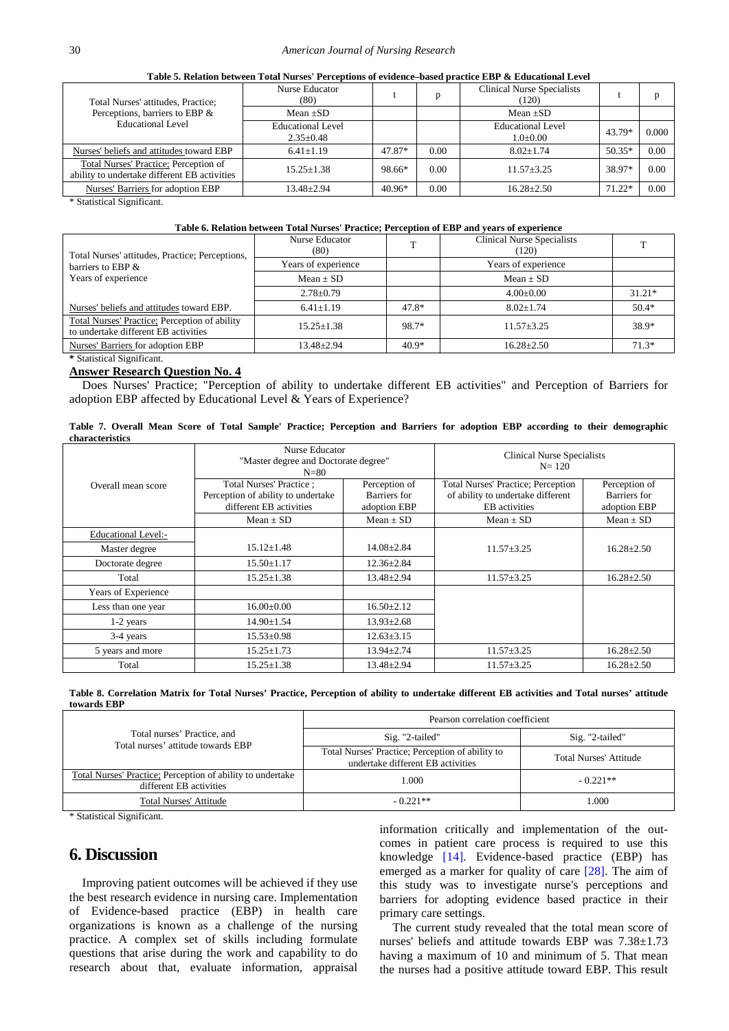| Table 5. Relation between Total Nurses' Perceptions of evidence–based practice EBP & Educational Level |  |
|--------------------------------------------------------------------------------------------------------|--|
|--------------------------------------------------------------------------------------------------------|--|

<span id="page-5-0"></span>

| Total Nurses' attitudes, Practice;                                                                                                                            | Nurse Educator<br>(80)               |          |      | <b>Clinical Nurse Specialists</b><br>(120) |          | D     |
|---------------------------------------------------------------------------------------------------------------------------------------------------------------|--------------------------------------|----------|------|--------------------------------------------|----------|-------|
| Perceptions, barriers to EBP &                                                                                                                                | $Mean + SD$                          |          |      | $Mean + SD$                                |          |       |
| Educational Level                                                                                                                                             | Educational Level<br>$2.35 \pm 0.48$ |          |      | Educational Level<br>$1.0 \pm 0.00$        | 43.79*   | 0.000 |
| Nurses' beliefs and attitudes toward EBP                                                                                                                      | $6.41 + 1.19$                        | 47.87*   | 0.00 | $8.02 + 1.74$                              | $50.35*$ | 0.00  |
| Total Nurses' Practice; Perception of<br>ability to undertake different EB activities                                                                         | $15.25 + 1.38$                       | 98.66*   | 0.00 | $11.57 + 3.25$                             | 38.97*   | 0.00  |
| Nurses' Barriers for adoption EBP                                                                                                                             | $13.48 \pm 2.94$                     | $40.96*$ | 0.00 | $16.28 + 2.50$                             | 71.22*   | 0.00  |
| $\mathcal{A}$ , $\mathcal{A}$ , $\mathcal{A}$ , $\mathcal{A}$ , $\mathcal{A}$ , $\mathcal{A}$ , $\mathcal{A}$ , $\mathcal{A}$ , $\mathcal{A}$ , $\mathcal{A}$ |                                      |          |      |                                            |          |       |

\* Statistical Significant.

#### <span id="page-5-2"></span>**Table 6. Relation between Total Nurses' Practice; Perception of EBP and years of experience**

<span id="page-5-1"></span>

| Total Nurses' attitudes, Practice; Perceptions,                                       | Nurse Educator<br>(80) |         | <b>Clinical Nurse Specialists</b><br>(120) |          |
|---------------------------------------------------------------------------------------|------------------------|---------|--------------------------------------------|----------|
| barriers to EBP $&$                                                                   | Years of experience    |         | Years of experience                        |          |
| Years of experience                                                                   | Mean $\pm$ SD          |         | $Mean \pm SD$                              |          |
|                                                                                       | $2.78 \pm 0.79$        |         | $4.00+0.00$                                | $31.21*$ |
| Nurses' beliefs and attitudes toward EBP.                                             | $6.41 \pm 1.19$        | 47.8*   | $8.02 \pm 1.74$                            | $50.4*$  |
| Total Nurses' Practice; Perception of ability<br>to undertake different EB activities | $15.25 \pm 1.38$       | 98.7*   | $11.57 + 3.25$                             | 38.9*    |
| Nurses' Barriers for adoption EBP                                                     | $13.48 \pm 2.94$       | $40.9*$ | $16.28 \pm 2.50$                           | $71.3*$  |

**\*** Statistical Significant.

## **Answer Research Question No. 4**

Does Nurses' Practice; "Perception of ability to undertake different EB activities" and Perception of Barriers for adoption EBP affected by Educational Level & Years of Experience?

| Table 7. Overall Mean Score of Total Sample' Practice; Perception and Barriers for adoption EBP according to their demographic |  |  |  |  |  |  |  |
|--------------------------------------------------------------------------------------------------------------------------------|--|--|--|--|--|--|--|
| characteristics                                                                                                                |  |  |  |  |  |  |  |

|                            | Nurse Educator<br>"Master degree and Doctorate degree"<br>$N=80$                         |                                               | <b>Clinical Nurse Specialists</b><br>$N = 120$                                                  |                                               |  |
|----------------------------|------------------------------------------------------------------------------------------|-----------------------------------------------|-------------------------------------------------------------------------------------------------|-----------------------------------------------|--|
| Overall mean score         | Total Nurses' Practice:<br>Perception of ability to undertake<br>different EB activities | Perception of<br>Barriers for<br>adoption EBP | <b>Total Nurses' Practice; Perception</b><br>of ability to undertake different<br>EB activities | Perception of<br>Barriers for<br>adoption EBP |  |
|                            | Mean $\pm$ SD                                                                            | $Mean \pm SD$                                 | Mean $\pm$ SD                                                                                   | Mean $\pm$ SD                                 |  |
| <b>Educational Level:-</b> |                                                                                          |                                               |                                                                                                 |                                               |  |
| Master degree              | $15.12 \pm 1.48$                                                                         | $14.08 \pm 2.84$                              | $11.57 \pm 3.25$                                                                                | $16.28 \pm 2.50$                              |  |
| Doctorate degree           | $15.50 \pm 1.17$                                                                         | $12.36 \pm 2.84$                              |                                                                                                 |                                               |  |
| Total                      | $15.25 \pm 1.38$                                                                         | $13.48 \pm 2.94$                              | $11.57 \pm 3.25$                                                                                | $16.28 \pm 2.50$                              |  |
| Years of Experience        |                                                                                          |                                               |                                                                                                 |                                               |  |
| Less than one year         | $16.00 \pm 0.00$                                                                         | $16.50 \pm 2.12$                              |                                                                                                 |                                               |  |
| $1-2$ years                | $14.90 \pm 1.54$                                                                         | $13.93 \pm 2.68$                              |                                                                                                 |                                               |  |
| 3-4 years                  | $15.53 \pm 0.98$                                                                         | $12.63 \pm 3.15$                              |                                                                                                 |                                               |  |
| 5 years and more           | $15.25 \pm 1.73$                                                                         | $13.94 \pm 2.74$                              | $11.57 \pm 3.25$                                                                                | $16.28 \pm 2.50$                              |  |
| Total                      | $15.25 + 1.38$                                                                           | $13.48 \pm 2.94$                              | $11.57 + 3.25$                                                                                  | $16.28 + 2.50$                                |  |

**Table 8. Correlation Matrix for Total Nurses' Practice, Perception of ability to undertake different EB activities and Total nurses' attitude towards EBP**

<span id="page-5-3"></span>

|                                                                                              | Pearson correlation coefficient                                                       |                               |  |  |  |  |
|----------------------------------------------------------------------------------------------|---------------------------------------------------------------------------------------|-------------------------------|--|--|--|--|
| Total nurses' Practice, and<br>Total nurses' attitude towards EBP                            | Sig. "2-tailed"                                                                       | Sig. "2-tailed"               |  |  |  |  |
|                                                                                              | Total Nurses' Practice; Perception of ability to<br>undertake different EB activities | <b>Total Nurses' Attitude</b> |  |  |  |  |
| <b>Total Nurses' Practice: Perception of ability to undertake</b><br>different EB activities | 1.000                                                                                 | $-0.221**$                    |  |  |  |  |
| <b>Total Nurses' Attitude</b>                                                                | $-0.221**$                                                                            | .000                          |  |  |  |  |

\* Statistical Significant.

# **6. Discussion**

Improving patient outcomes will be achieved if they use the best research evidence in nursing care. Implementation of Evidence-based practice (EBP) in health care organizations is known as a challenge of the nursing practice. A complex set of skills including formulate questions that arise during the work and capability to do research about that, evaluate information, appraisal information critically and implementation of the outcomes in patient care process is required to use this knowledge [\[14\].](#page-8-5) Evidence-based practice (EBP) has emerged as a marker for quality of care [\[28\].](#page-8-14) The aim of this study was to investigate nurse's perceptions and barriers for adopting evidence based practice in their primary care settings.

The current study revealed that the total mean score of nurses' beliefs and attitude towards EBP was 7.38±1.73 having a maximum of 10 and minimum of 5. That mean the nurses had a positive attitude toward EBP. This result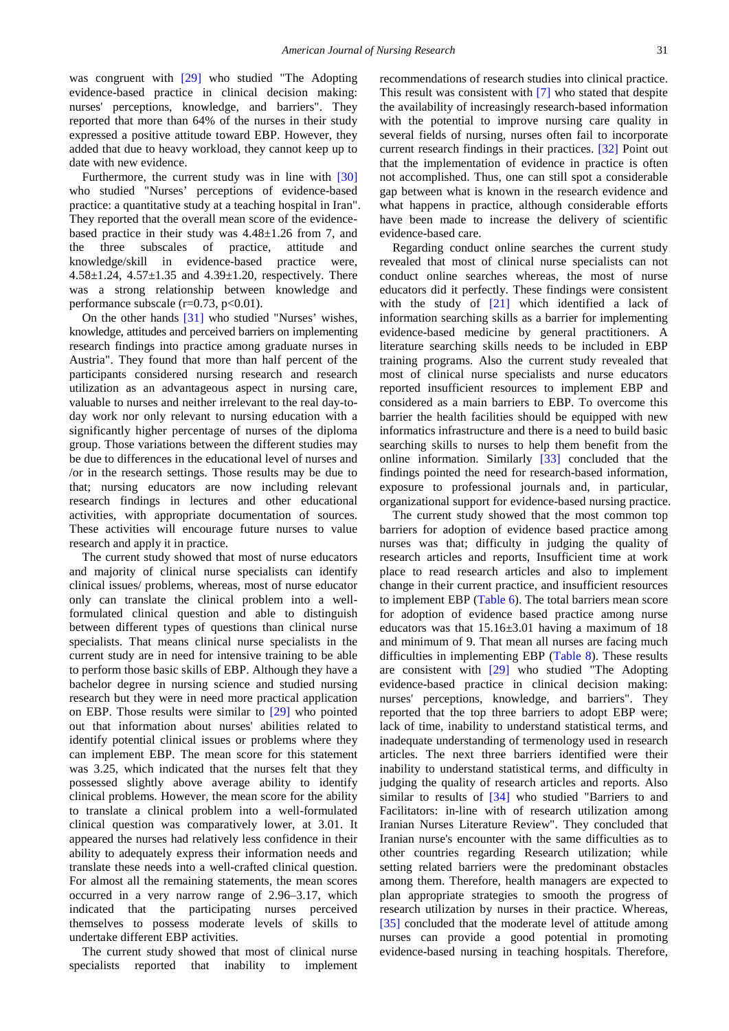was congruent with [\[29\]](#page-8-15) who studied "The Adopting" evidence-based practice in clinical decision making: nurses' perceptions, knowledge, and barriers". They reported that more than 64% of the nurses in their study expressed a positive attitude toward EBP. However, they added that due to heavy workload, they cannot keep up to date with new evidence.

Furthermore, the current study was in line with [\[30\]](#page-8-16) who studied "Nurses' perceptions of evidence-based practice: a quantitative study at a teaching hospital in Iran". They reported that the overall mean score of the evidencebased practice in their study was 4.48±1.26 from 7, and the three subscales of practice, attitude and knowledge/skill in evidence-based practice were, 4.58 $\pm$ 1.24, 4.57 $\pm$ 1.35 and 4.39 $\pm$ 1.20, respectively. There was a strong relationship between knowledge and performance subscale  $(r=0.73, p<0.01)$ .

On the other hands [\[31\]](#page-8-17) who studied "Nurses' wishes, knowledge, attitudes and perceived barriers on implementing research findings into practice among graduate nurses in Austria". They found that more than half percent of the participants considered nursing research and research utilization as an advantageous aspect in nursing care, valuable to nurses and neither irrelevant to the real day-today work nor only relevant to nursing education with a significantly higher percentage of nurses of the diploma group. Those variations between the different studies may be due to differences in the educational level of nurses and /or in the research settings. Those results may be due to that; nursing educators are now including relevant research findings in lectures and other educational activities, with appropriate documentation of sources. These activities will encourage future nurses to value research and apply it in practice.

The current study showed that most of nurse educators and majority of clinical nurse specialists can identify clinical issues/ problems, whereas, most of nurse educator only can translate the clinical problem into a wellformulated clinical question and able to distinguish between different types of questions than clinical nurse specialists. That means clinical nurse specialists in the current study are in need for intensive training to be able to perform those basic skills of EBP. Although they have a bachelor degree in nursing science and studied nursing research but they were in need more practical application on EBP. Those results were similar to [\[29\]](#page-8-15) who pointed out that information about nurses' abilities related to identify potential clinical issues or problems where they can implement EBP. The mean score for this statement was 3.25, which indicated that the nurses felt that they possessed slightly above average ability to identify clinical problems. However, the mean score for the ability to translate a clinical problem into a well-formulated clinical question was comparatively lower, at 3.01. It appeared the nurses had relatively less confidence in their ability to adequately express their information needs and translate these needs into a well-crafted clinical question. For almost all the remaining statements, the mean scores occurred in a very narrow range of 2.96–3.17, which indicated that the participating nurses perceived themselves to possess moderate levels of skills to undertake different EBP activities.

The current study showed that most of clinical nurse specialists reported that inability to implement recommendations of research studies into clinical practice. This result was consistent with [\[7\]](#page-7-6) who stated that despite the availability of increasingly research-based information with the potential to improve nursing care quality in several fields of nursing, nurses often fail to incorporate current research findings in their practices. [\[32\]](#page-8-18) Point out that the implementation of evidence in practice is often not accomplished. Thus, one can still spot a considerable gap between what is known in the research evidence and what happens in practice, although considerable efforts have been made to increase the delivery of scientific evidence-based care.

Regarding conduct online searches the current study revealed that most of clinical nurse specialists can not conduct online searches whereas, the most of nurse educators did it perfectly. These findings were consistent with the study of [\[21\]](#page-8-19) which identified a lack of information searching skills as a barrier for implementing evidence-based medicine by general practitioners. A literature searching skills needs to be included in EBP training programs. Also the current study revealed that most of clinical nurse specialists and nurse educators reported insufficient resources to implement EBP and considered as a main barriers to EBP. To overcome this barrier the health facilities should be equipped with new informatics infrastructure and there is a need to build basic searching skills to nurses to help them benefit from the online information. Similarly [\[33\]](#page-8-20) concluded that the findings pointed the need for research-based information, exposure to professional journals and, in particular, organizational support for evidence-based nursing practice.

The current study showed that the most common top barriers for adoption of evidence based practice among nurses was that; difficulty in judging the quality of research articles and reports, Insufficient time at work place to read research articles and also to implement change in their current practice, and insufficient resources to implement EBP [\(Table 6\)](#page-5-1). The total barriers mean score for adoption of evidence based practice among nurse educators was that  $15.16 \pm 3.01$  having a maximum of 18 and minimum of 9. That mean all nurses are facing much difficulties in implementing EBP [\(Table 8\)](#page-5-3). These results are consistent with [\[29\]](#page-8-15) who studied "The Adopting evidence-based practice in clinical decision making: nurses' perceptions, knowledge, and barriers". They reported that the top three barriers to adopt EBP were; lack of time, inability to understand statistical terms, and inadequate understanding of termenology used in research articles. The next three barriers identified were their inability to understand statistical terms, and difficulty in judging the quality of research articles and reports. Also similar to results of [\[34\]](#page-8-21) who studied "Barriers to and Facilitators: in-line with of research utilization among Iranian Nurses Literature Review". They concluded that Iranian nurse's encounter with the same difficulties as to other countries regarding Research utilization; while setting related barriers were the predominant obstacles among them. Therefore, health managers are expected to plan appropriate strategies to smooth the progress of research utilization by nurses in their practice. Whereas, [\[35\]](#page-8-22) concluded that the moderate level of attitude among nurses can provide a good potential in promoting evidence-based nursing in teaching hospitals. Therefore,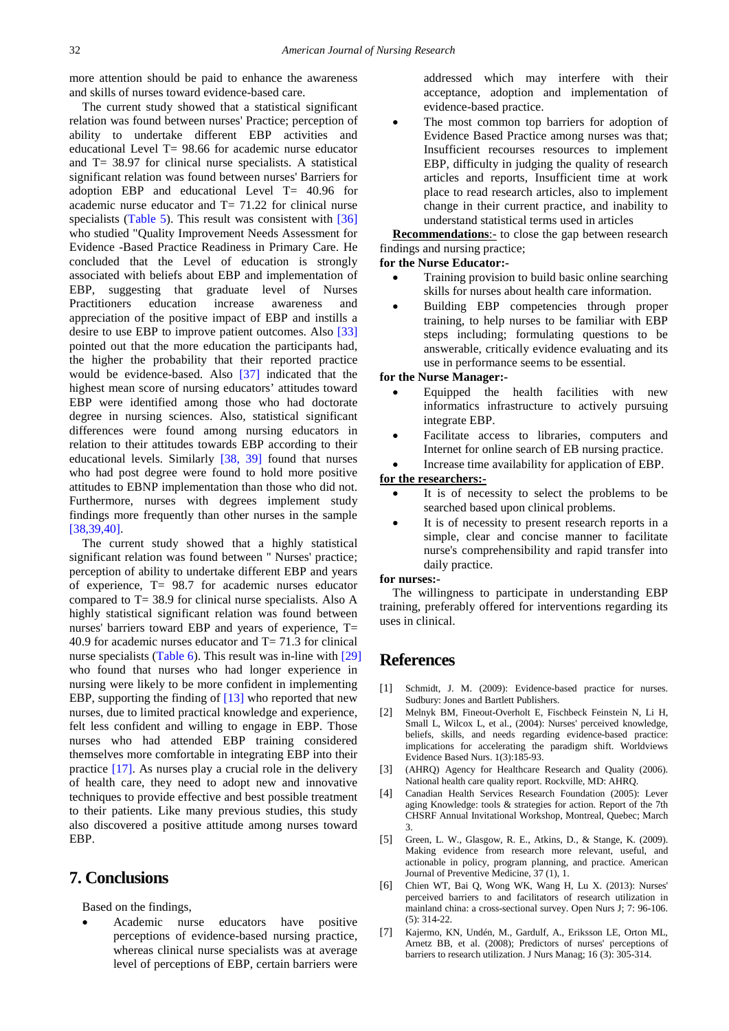more attention should be paid to enhance the awareness and skills of nurses toward evidence-based care.

The current study showed that a statistical significant relation was found between nurses' Practice; perception of ability to undertake different EBP activities and educational Level T= 98.66 for academic nurse educator and T= 38.97 for clinical nurse specialists. A statistical significant relation was found between nurses' Barriers for adoption EBP and educational Level T= 40.96 for academic nurse educator and  $T = 71.22$  for clinical nurse specialists [\(Table 5\)](#page-5-0). This result was consistent with [\[36\]](#page-8-23) who studied "Quality Improvement Needs Assessment for Evidence -Based Practice Readiness in Primary Care. He concluded that the Level of education is strongly associated with beliefs about EBP and implementation of EBP, suggesting that graduate level of Nurses Practitioners education increase awareness and appreciation of the positive impact of EBP and instills a desire to use EBP to improve patient outcomes. Also [\[33\]](#page-8-20) pointed out that the more education the participants had, the higher the probability that their reported practice would be evidence-based. Also [\[37\]](#page-8-24) indicated that the highest mean score of nursing educators' attitudes toward EBP were identified among those who had doctorate degree in nursing sciences. Also, statistical significant differences were found among nursing educators in relation to their attitudes towards EBP according to their educational levels. Similarly [\[38, 39\]](#page-8-25) found that nurses who had post degree were found to hold more positive attitudes to EBNP implementation than those who did not. Furthermore, nurses with degrees implement study findings more frequently than other nurses in the sample [\[38,39,40\].](#page-8-25)

The current study showed that a highly statistical significant relation was found between '' Nurses' practice; perception of ability to undertake different EBP and years of experience, T= 98.7 for academic nurses educator compared to T= 38.9 for clinical nurse specialists. Also A highly statistical significant relation was found between nurses' barriers toward EBP and years of experience, T= 40.9 for academic nurses educator and T= 71.3 for clinical nurse specialists [\(Table 6\)](#page-5-1). This result was in-line with [\[29\]](#page-8-15) who found that nurses who had longer experience in nursing were likely to be more confident in implementing EBP, supporting the finding of [\[13\]](#page-8-4) who reported that new nurses, due to limited practical knowledge and experience, felt less confident and willing to engage in EBP. Those nurses who had attended EBP training considered themselves more comfortable in integrating EBP into their practice [\[17\].](#page-8-8) As nurses play a crucial role in the delivery of health care, they need to adopt new and innovative techniques to provide effective and best possible treatment to their patients. Like many previous studies, this study also discovered a positive attitude among nurses toward EBP.

# **7. Conclusions**

Based on the findings,

• Academic nurse educators have positive perceptions of evidence-based nursing practice, whereas clinical nurse specialists was at average level of perceptions of EBP, certain barriers were

addressed which may interfere with their acceptance, adoption and implementation of evidence-based practice.

The most common top barriers for adoption of Evidence Based Practice among nurses was that; Insufficient recourses resources to implement EBP, difficulty in judging the quality of research articles and reports, Insufficient time at work place to read research articles, also to implement change in their current practice, and inability to understand statistical terms used in articles

**Recommendations**:- to close the gap between research findings and nursing practice;

#### **for the Nurse Educator:-**

- Training provision to build basic online searching skills for nurses about health care information.
- Building EBP competencies through proper training, to help nurses to be familiar with EBP steps including; formulating questions to be answerable, critically evidence evaluating and its use in performance seems to be essential.

#### **for the Nurse Manager:-**

- Equipped the health facilities with new informatics infrastructure to actively pursuing integrate EBP.
- Facilitate access to libraries, computers and Internet for online search of EB nursing practice.
- Increase time availability for application of EBP.

#### **for the researchers:-**

- It is of necessity to select the problems to be searched based upon clinical problems.
- It is of necessity to present research reports in a simple, clear and concise manner to facilitate nurse's comprehensibility and rapid transfer into daily practice.

#### **for nurses:-**

The willingness to participate in understanding EBP training, preferably offered for interventions regarding its uses in clinical.

## **References**

- <span id="page-7-0"></span>[1] Schmidt, J. M. (2009): Evidence-based practice for nurses. Sudbury: Jones and Bartlett Publishers.
- <span id="page-7-1"></span>[2] Melnyk BM, Fineout-Overholt E, Fischbeck Feinstein N, Li H, Small L, Wilcox L, et al., (2004): Nurses' perceived knowledge, beliefs, skills, and needs regarding evidence-based practice: implications for accelerating the paradigm shift. Worldviews Evidence Based Nurs. 1(3):185-93.
- <span id="page-7-2"></span>[3] (AHRQ) Agency for Healthcare Research and Quality (2006). National health care quality report. Rockville, MD: AHRQ.
- <span id="page-7-3"></span>[4] Canadian Health Services Research Foundation (2005): Lever aging Knowledge: tools & strategies for action. Report of the 7th CHSRF Annual Invitational Workshop, Montreal, Quebec; March 3.
- <span id="page-7-4"></span>[5] Green, L. W., Glasgow, R. E., Atkins, D., & Stange, K. (2009). Making evidence from research more relevant, useful, and actionable in policy, program planning, and practice. American Journal of Preventive Medicine, 37 (1), 1.
- <span id="page-7-5"></span>[6] Chien WT, Bai Q, Wong WK, Wang H, Lu X. (2013): Nurses' perceived barriers to and facilitators of research utilization in mainland china: a cross-sectional survey. Open Nurs J; 7: 96-106. (5): 314-22.
- <span id="page-7-6"></span>[7] Kajermo, KN, Undén, M., Gardulf, A., Eriksson LE, Orton ML, Arnetz BB, et al. (2008); Predictors of nurses' perceptions of barriers to research utilization. J Nurs Manag; 16 (3): 305-314.